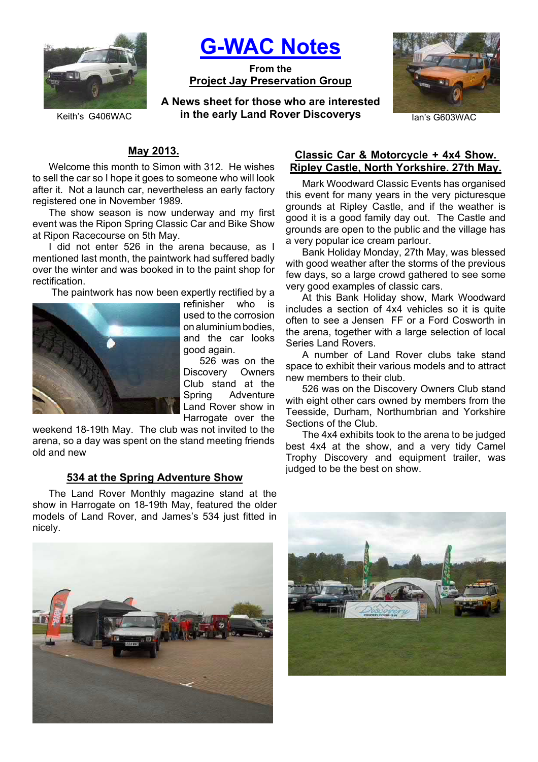

**G-WAC Notes**

**From the Project Jay Preservation Group**

**A News sheet for those who are interested Keith's G406WAC in the early Land Rover Discoverys** Ian's G603WAC



# **May 2013.**

Welcome this month to Simon with 312. He wishes to sell the car so I hope it goes to someone who will look after it. Not a launch car, nevertheless an early factory registered one in November 1989.

The show season is now underway and my first event was the Ripon Spring Classic Car and Bike Show at Ripon Racecourse on 5th May.

I did not enter 526 in the arena because, as I mentioned last month, the paintwork had suffered badly over the winter and was booked in to the paint shop for rectification.

The paintwork has now been expertly rectified by a



refinisher who is used to the corrosion on aluminium bodies, and the car looks good again.

526 was on the Discovery Owners Club stand at the Spring Adventure Land Rover show in Harrogate over the

weekend 18-19th May. The club was not invited to the arena, so a day was spent on the stand meeting friends old and new

#### **534 at the Spring Adventure Show**

The Land Rover Monthly magazine stand at the show in Harrogate on 18-19th May, featured the older models of Land Rover, and James's 534 just fitted in nicely.



### **Classic Car & Motorcycle + 4x4 Show. Ripley Castle, North Yorkshire. 27th May.**

Mark Woodward Classic Events has organised this event for many years in the very picturesque grounds at Ripley Castle, and if the weather is good it is a good family day out. The Castle and grounds are open to the public and the village has a very popular ice cream parlour.

Bank Holiday Monday, 27th May, was blessed with good weather after the storms of the previous few days, so a large crowd gathered to see some very good examples of classic cars.

At this Bank Holiday show, Mark Woodward includes a section of 4x4 vehicles so it is quite often to see a Jensen FF or a Ford Cosworth in the arena, together with a large selection of local Series Land Rovers.

A number of Land Rover clubs take stand space to exhibit their various models and to attract new members to their club.

526 was on the Discovery Owners Club stand with eight other cars owned by members from the Teesside, Durham, Northumbrian and Yorkshire Sections of the Club.

The 4x4 exhibits took to the arena to be judged best 4x4 at the show, and a very tidy Camel Trophy Discovery and equipment trailer, was judged to be the best on show.

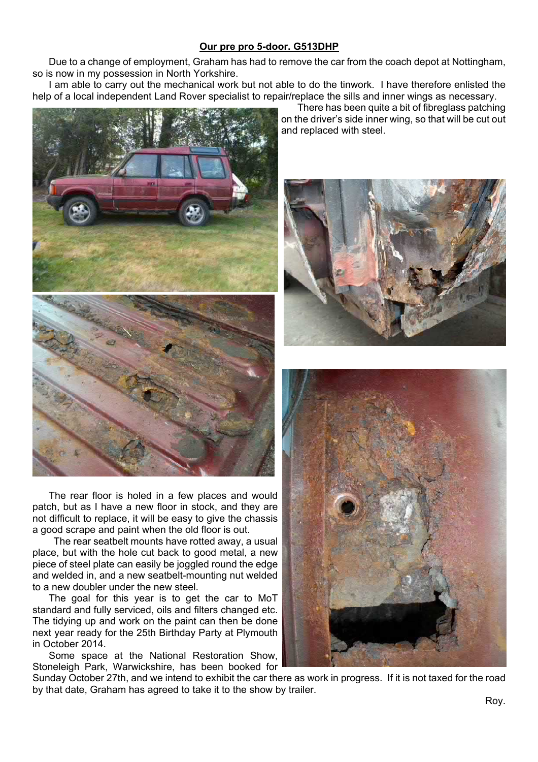## **Our pre pro 5-door. G513DHP**

Due to a change of employment, Graham has had to remove the car from the coach depot at Nottingham, so is now in my possession in North Yorkshire.

I am able to carry out the mechanical work but not able to do the tinwork. I have therefore enlisted the help of a local independent Land Rover specialist to repair/replace the sills and inner wings as necessary.



The rear floor is holed in a few places and would patch, but as I have a new floor in stock, and they are not difficult to replace, it will be easy to give the chassis a good scrape and paint when the old floor is out.

 The rear seatbelt mounts have rotted away, a usual place, but with the hole cut back to good metal, a new piece of steel plate can easily be joggled round the edge and welded in, and a new seatbelt-mounting nut welded to a new doubler under the new steel.

The goal for this year is to get the car to MoT standard and fully serviced, oils and filters changed etc. The tidying up and work on the paint can then be done next year ready for the 25th Birthday Party at Plymouth in October 2014.

Some space at the National Restoration Show, Stoneleigh Park, Warwickshire, has been booked for

Sunday October 27th, and we intend to exhibit the car there as work in progress. If it is not taxed for the road by that date, Graham has agreed to take it to the show by trailer.

There has been quite a bit of fibreglass patching on the driver's side inner wing, so that will be cut out and replaced with steel.



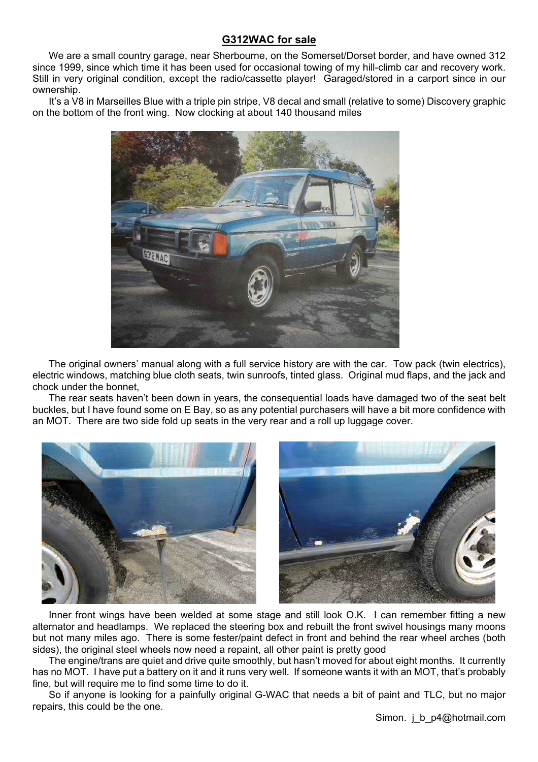## **G312WAC for sale**

We are a small country garage, near Sherbourne, on the Somerset/Dorset border, and have owned 312 since 1999, since which time it has been used for occasional towing of my hill-climb car and recovery work. Still in very original condition, except the radio/cassette player! Garaged/stored in a carport since in our ownership.

It's a V8 in Marseilles Blue with a triple pin stripe, V8 decal and small (relative to some) Discovery graphic on the bottom of the front wing. Now clocking at about 140 thousand miles



The original owners' manual along with a full service history are with the car. Tow pack (twin electrics), electric windows, matching blue cloth seats, twin sunroofs, tinted glass. Original mud flaps, and the jack and chock under the bonnet,

The rear seats haven't been down in years, the consequential loads have damaged two of the seat belt buckles, but I have found some on E Bay, so as any potential purchasers will have a bit more confidence with an MOT. There are two side fold up seats in the very rear and a roll up luggage cover.



Inner front wings have been welded at some stage and still look O.K. I can remember fitting a new alternator and headlamps. We replaced the steering box and rebuilt the front swivel housings many moons but not many miles ago. There is some fester/paint defect in front and behind the rear wheel arches (both sides), the original steel wheels now need a repaint, all other paint is pretty good

The engine/trans are quiet and drive quite smoothly, but hasn't moved for about eight months. It currently has no MOT. I have put a battery on it and it runs very well. If someone wants it with an MOT, that's probably fine, but will require me to find some time to do it.

So if anyone is looking for a painfully original G-WAC that needs a bit of paint and TLC, but no major repairs, this could be the one.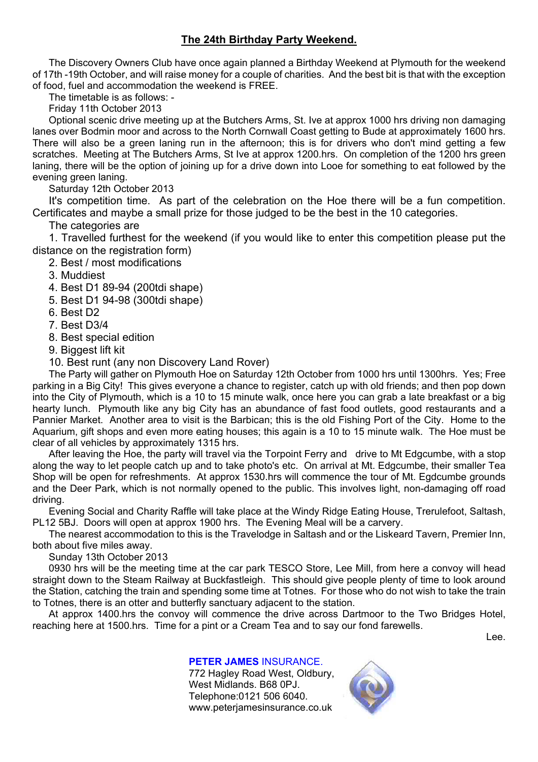# **The 24th Birthday Party Weekend.**

The Discovery Owners Club have once again planned a Birthday Weekend at Plymouth for the weekend of 17th -19th October, and will raise money for a couple of charities. And the best bit is that with the exception of food, fuel and accommodation the weekend is FREE.

The timetable is as follows: -

Friday 11th October 2013

Optional scenic drive meeting up at the Butchers Arms, St. Ive at approx 1000 hrs driving non damaging lanes over Bodmin moor and across to the North Cornwall Coast getting to Bude at approximately 1600 hrs. There will also be a green laning run in the afternoon; this is for drivers who don't mind getting a few scratches. Meeting at The Butchers Arms, St Ive at approx 1200.hrs. On completion of the 1200 hrs green laning, there will be the option of joining up for a drive down into Looe for something to eat followed by the evening green laning.

Saturday 12th October 2013

It's competition time. As part of the celebration on the Hoe there will be a fun competition. Certificates and maybe a small prize for those judged to be the best in the 10 categories.

The categories are

1. Travelled furthest for the weekend (if you would like to enter this competition please put the distance on the registration form)

- 2. Best / most modifications
- 3. Muddiest
- 4. Best D1 89-94 (200tdi shape)
- 5. Best D1 94-98 (300tdi shape)
- 6. Best D2
- 7. Best D3/4
- 8. Best special edition
- 9. Biggest lift kit

10. Best runt (any non Discovery Land Rover)

The Party will gather on Plymouth Hoe on Saturday 12th October from 1000 hrs until 1300hrs. Yes; Free parking in a Big City! This gives everyone a chance to register, catch up with old friends; and then pop down into the City of Plymouth, which is a 10 to 15 minute walk, once here you can grab a late breakfast or a big hearty lunch. Plymouth like any big City has an abundance of fast food outlets, good restaurants and a Pannier Market. Another area to visit is the Barbican; this is the old Fishing Port of the City. Home to the Aquarium, gift shops and even more eating houses; this again is a 10 to 15 minute walk. The Hoe must be clear of all vehicles by approximately 1315 hrs.

After leaving the Hoe, the party will travel via the Torpoint Ferry and drive to Mt Edgcumbe, with a stop along the way to let people catch up and to take photo's etc. On arrival at Mt. Edgcumbe, their smaller Tea Shop will be open for refreshments. At approx 1530.hrs will commence the tour of Mt. Egdcumbe grounds and the Deer Park, which is not normally opened to the public. This involves light, non-damaging off road driving.

Evening Social and Charity Raffle will take place at the Windy Ridge Eating House, Trerulefoot, Saltash, PL12 5BJ. Doors will open at approx 1900 hrs. The Evening Meal will be a carvery.

The nearest accommodation to this is the Travelodge in Saltash and or the Liskeard Tavern, Premier Inn, both about five miles away.

Sunday 13th October 2013

0930 hrs will be the meeting time at the car park TESCO Store, Lee Mill, from here a convoy will head straight down to the Steam Railway at Buckfastleigh. This should give people plenty of time to look around the Station, catching the train and spending some time at Totnes. For those who do not wish to take the train to Totnes, there is an otter and butterfly sanctuary adjacent to the station.

At approx 1400.hrs the convoy will commence the drive across Dartmoor to the Two Bridges Hotel, reaching here at 1500.hrs. Time for a pint or a Cream Tea and to say our fond farewells.

Lee.

**PETER JAMES** INSURANCE. 772 Hagley Road West, Oldbury, West Midlands. B68 0PJ. Telephone:0121 506 6040. www.peterjamesinsurance.co.uk

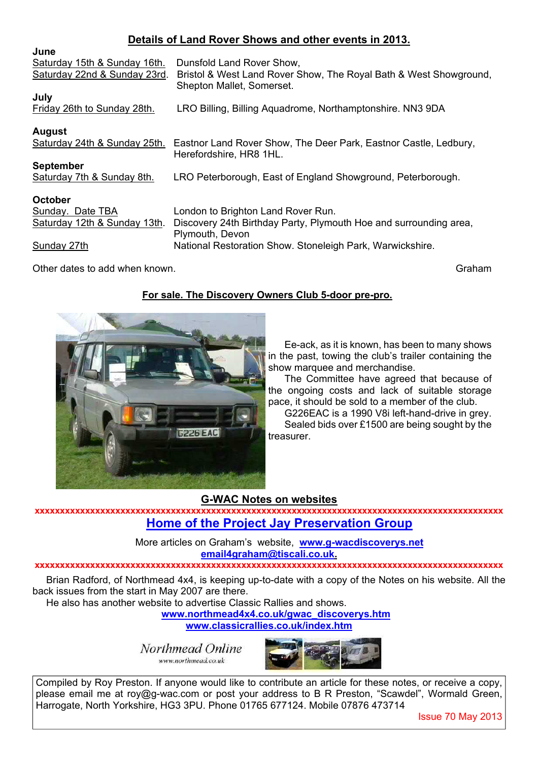# **Details of Land Rover Shows and other events in 2013.**

| June                         |                                                                   |
|------------------------------|-------------------------------------------------------------------|
| Saturday 15th & Sunday 16th. | Dunsfold Land Rover Show,                                         |
| Saturday 22nd & Sunday 23rd. | Bristol & West Land Rover Show, The Royal Bath & West Showground, |
|                              | Shepton Mallet, Somerset.                                         |
| July                         |                                                                   |
| Friday 26th to Sunday 28th.  | LRO Billing, Billing Aquadrome, Northamptonshire. NN3 9DA         |
|                              |                                                                   |
| <b>August</b>                |                                                                   |
| Saturday 24th & Sunday 25th. | Eastnor Land Rover Show, The Deer Park, Eastnor Castle, Ledbury,  |
|                              | Herefordshire, HR8 1HL.                                           |
| <b>September</b>             |                                                                   |
| Saturday 7th & Sunday 8th.   | LRO Peterborough, East of England Showground, Peterborough.       |
|                              |                                                                   |
| October                      |                                                                   |
| Sunday. Date TBA             | London to Brighton Land Rover Run.                                |
| Saturday 12th & Sunday 13th. | Discovery 24th Birthday Party, Plymouth Hoe and surrounding area, |
|                              | Plymouth, Devon                                                   |
| Sunday 27th                  | National Restoration Show. Stoneleigh Park, Warwickshire.         |
|                              |                                                                   |

Other dates to add when known. Graham control with the control of the control of the control of the control of the control of the control of the control of the control of the control of the control of the control of the co

## **For sale. The Discovery Owners Club 5-door pre-pro.**



Ee-ack, as it is known, has been to many shows in the past, towing the club's trailer containing the show marquee and merchandise.

The Committee have agreed that because of the ongoing costs and lack of suitable storage pace, it should be sold to a member of the club.

G226EAC is a 1990 V8i left-hand-drive in grey. Sealed bids over £1500 are being sought by the treasurer.

### **G-WAC Notes on websites**

**xxxxxxxxxxxxxxxxxxxxxxxxxxxxxxxxxxxxxxxxxxxxxxxxxxxxxxxxxxxxxxxxxxxxxxxxxxxxxxxxxxxxxxxxxxxxx Home of the Project Jay Preservation Group**

> More articles on Graham's website, **www.g-wacdiscoverys.net email4graham@tiscali.co.uk.**

### **xxxxxxxxxxxxxxxxxxxxxxxxxxxxxxxxxxxxxxxxxxxxxxxxxxxxxxxxxxxxxxxxxxxxxxxxxxxxxxxxxxxxxxxxxxxxx**

Brian Radford, of Northmead 4x4, is keeping up-to-date with a copy of the Notes on his website. All the back issues from the start in May 2007 are there.

He also has another website to advertise Classic Rallies and shows.

**www.northmead4x4.co.uk/gwac\_discoverys.htm**

**www.classicrallies.co.uk/index.htm**

Northmead Online www.northmead.co.uk



Compiled by Roy Preston. If anyone would like to contribute an article for these notes, or receive a copy, please email me at roy@g-wac.com or post your address to B R Preston, "Scawdel", Wormald Green, Harrogate, North Yorkshire, HG3 3PU. Phone 01765 677124. Mobile 07876 473714

Issue 70 May 2013